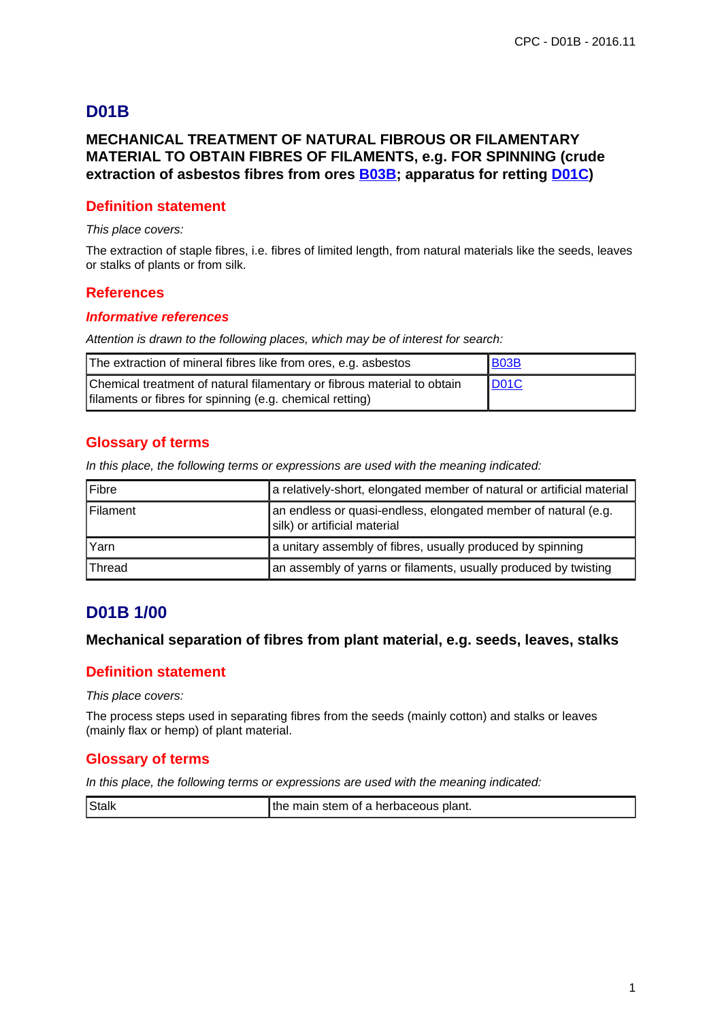# **D01B**

## **MECHANICAL TREATMENT OF NATURAL FIBROUS OR FILAMENTARY MATERIAL TO OBTAIN FIBRES OF FILAMENTS, e.g. FOR SPINNING (crude extraction of asbestos fibres from ores B03B; apparatus for retting D01C)**

## **Definition statement**

#### This place covers:

The extraction of staple fibres, i.e. fibres of limited length, from natural materials like the seeds, leaves or stalks of plants or from silk.

## **References**

#### **Informative references**

Attention is drawn to the following places, which may be of interest for search:

| The extraction of mineral fibres like from ores, e.g. asbestos                                                                      | <b>B03B</b> |
|-------------------------------------------------------------------------------------------------------------------------------------|-------------|
| Chemical treatment of natural filamentary or fibrous material to obtain<br>filaments or fibres for spinning (e.g. chemical retting) | <b>D01C</b> |

## **Glossary of terms**

In this place, the following terms or expressions are used with the meaning indicated:

| Fibre         | a relatively-short, elongated member of natural or artificial material                         |
|---------------|------------------------------------------------------------------------------------------------|
| l Filament    | an endless or quasi-endless, elongated member of natural (e.g.<br>silk) or artificial material |
| Yarn          | a unitary assembly of fibres, usually produced by spinning                                     |
| <b>Thread</b> | an assembly of yarns or filaments, usually produced by twisting                                |

## **D01B 1/00**

#### **Mechanical separation of fibres from plant material, e.g. seeds, leaves, stalks**

## **Definition statement**

This place covers:

The process steps used in separating fibres from the seeds (mainly cotton) and stalks or leaves (mainly flax or hemp) of plant material.

## **Glossary of terms**

In this place, the following terms or expressions are used with the meaning indicated:

| Stalk<br>I the main stem of a herbaceous plant. |  |
|-------------------------------------------------|--|
|-------------------------------------------------|--|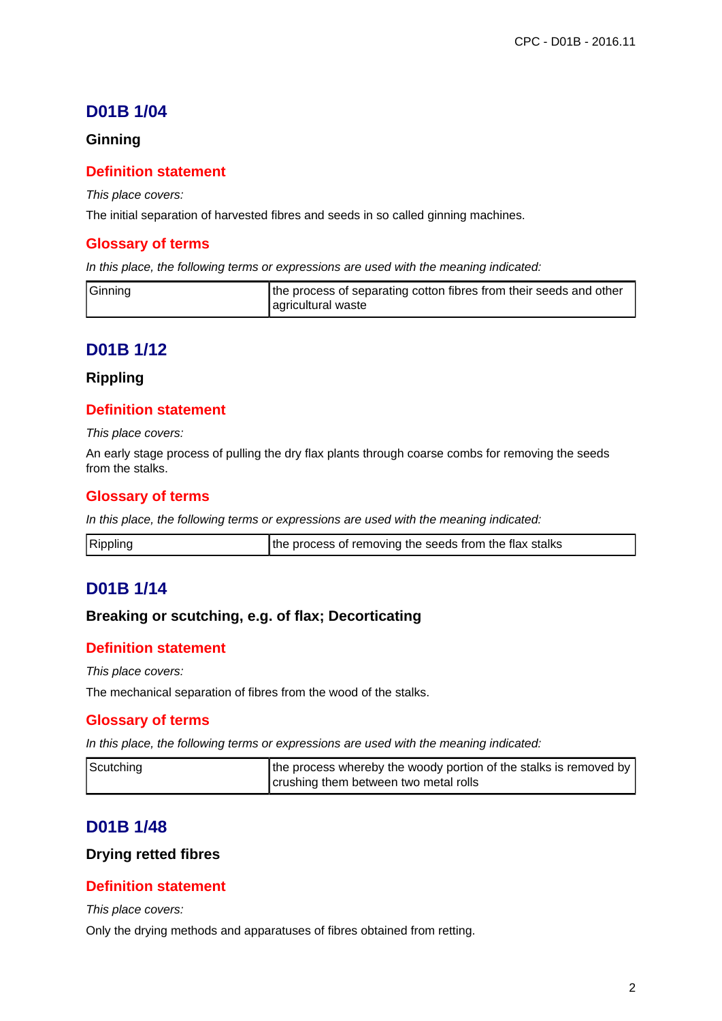# **D01B 1/04**

## **Ginning**

## **Definition statement**

This place covers:

The initial separation of harvested fibres and seeds in so called ginning machines.

## **Glossary of terms**

In this place, the following terms or expressions are used with the meaning indicated:

| Ginning | the process of separating cotton fibres from their seeds and other |
|---------|--------------------------------------------------------------------|
|         | agricultural waste                                                 |

## **D01B 1/12**

#### **Rippling**

## **Definition statement**

This place covers:

An early stage process of pulling the dry flax plants through coarse combs for removing the seeds from the stalks.

## **Glossary of terms**

In this place, the following terms or expressions are used with the meaning indicated:

| Rippling<br>the process of removing the seeds from the flax stalks |  |
|--------------------------------------------------------------------|--|
|--------------------------------------------------------------------|--|

## **D01B 1/14**

## **Breaking or scutching, e.g. of flax; Decorticating**

## **Definition statement**

This place covers:

The mechanical separation of fibres from the wood of the stalks.

## **Glossary of terms**

In this place, the following terms or expressions are used with the meaning indicated:

| Scutching | the process whereby the woody portion of the stalks is removed by |
|-----------|-------------------------------------------------------------------|
|           | crushing them between two metal rolls                             |

## **D01B 1/48**

#### **Drying retted fibres**

## **Definition statement**

This place covers:

Only the drying methods and apparatuses of fibres obtained from retting.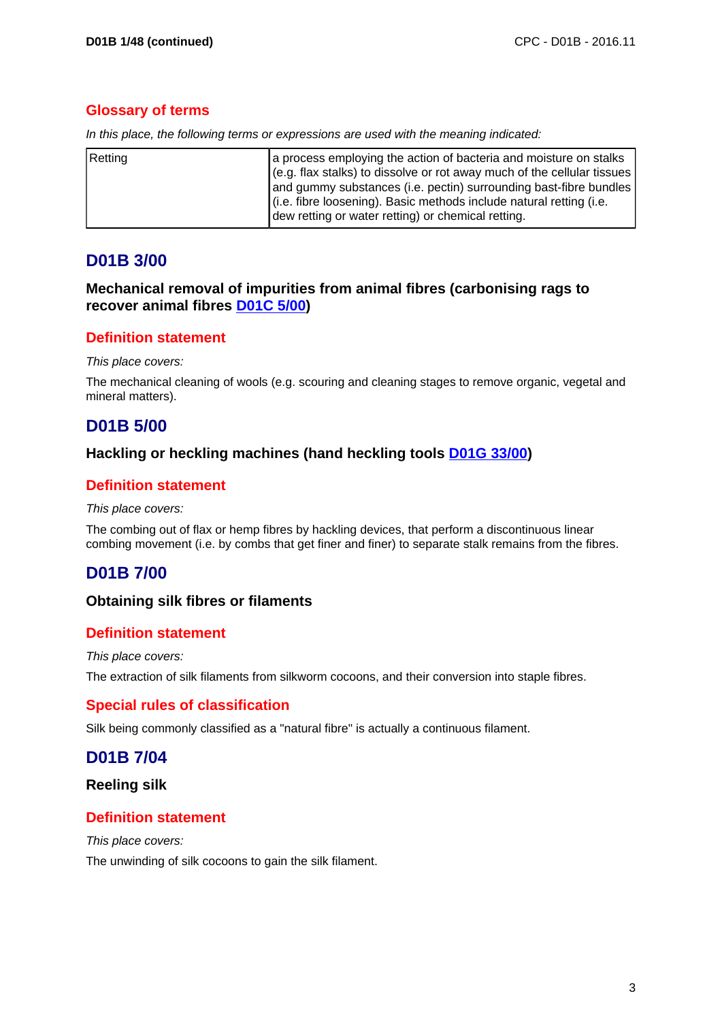## **Glossary of terms**

|  |  |  | In this place, the following terms or expressions are used with the meaning indicated: |  |  |  |  |
|--|--|--|----------------------------------------------------------------------------------------|--|--|--|--|
|  |  |  |                                                                                        |  |  |  |  |

| Retting | a process employing the action of bacteria and moisture on stalks<br>(e.g. flax stalks) to dissolve or rot away much of the cellular tissues |
|---------|----------------------------------------------------------------------------------------------------------------------------------------------|
|         | and gummy substances (i.e. pectin) surrounding bast-fibre bundles                                                                            |
|         | (i.e. fibre loosening). Basic methods include natural retting (i.e.<br>dew retting or water retting) or chemical retting.                    |

# **D01B 3/00**

## **Mechanical removal of impurities from animal fibres (carbonising rags to recover animal fibres D01C 5/00)**

## **Definition statement**

This place covers:

The mechanical cleaning of wools (e.g. scouring and cleaning stages to remove organic, vegetal and mineral matters).

# **D01B 5/00**

## **Hackling or heckling machines (hand heckling tools D01G 33/00)**

## **Definition statement**

#### This place covers:

The combing out of flax or hemp fibres by hackling devices, that perform a discontinuous linear combing movement (i.e. by combs that get finer and finer) to separate stalk remains from the fibres.

# **D01B 7/00**

## **Obtaining silk fibres or filaments**

## **Definition statement**

#### This place covers:

The extraction of silk filaments from silkworm cocoons, and their conversion into staple fibres.

## **Special rules of classification**

Silk being commonly classified as a "natural fibre" is actually a continuous filament.

# **D01B 7/04**

**Reeling silk**

## **Definition statement**

This place covers:

The unwinding of silk cocoons to gain the silk filament.